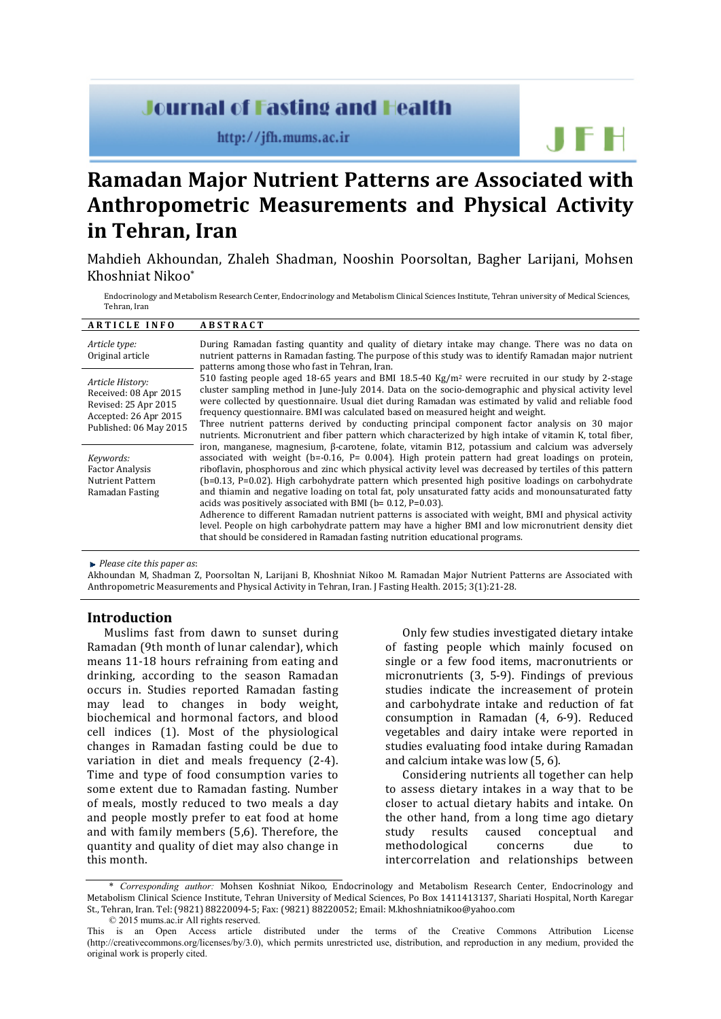# **Journal of Fasting and Health**

http://jfh.mums.ac.ir

**Ramadan Major Nutrient Patterns are Associated with Anthropometric Measurements and Physical Activity in Tehran, Iran**

Mahdieh Akhoundan, Zhaleh Shadman, Nooshin Poorsoltan, Bagher Larijani, Mohsen Khoshniat Nikoo\*

Endocrinology and Metabolism Research Center, Endocrinology and Metabolism Clinical Sciences Institute, Tehran university of Medical Sciences, Tehran, Iran

#### **A R T I C L E I N F O A B S T R A C T**

| Article type:<br>Original article                                                                                    | During Ramadan fasting quantity and quality of dietary intake may change. There was no data on<br>nutrient patterns in Ramadan fasting. The purpose of this study was to identify Ramadan major nutrient<br>patterns among those who fast in Tehran, Iran.                                                                                                                                                                                                                                                                                                                                                                                                                                                                                                                                                                                                                                                           |
|----------------------------------------------------------------------------------------------------------------------|----------------------------------------------------------------------------------------------------------------------------------------------------------------------------------------------------------------------------------------------------------------------------------------------------------------------------------------------------------------------------------------------------------------------------------------------------------------------------------------------------------------------------------------------------------------------------------------------------------------------------------------------------------------------------------------------------------------------------------------------------------------------------------------------------------------------------------------------------------------------------------------------------------------------|
| Article History:<br>Received: 08 Apr 2015<br>Revised: 25 Apr 2015<br>Accepted: 26 Apr 2015<br>Published: 06 May 2015 | 510 fasting people aged 18-65 years and BMI 18.5-40 Kg/m <sup>2</sup> were recruited in our study by 2-stage<br>cluster sampling method in June-July 2014. Data on the socio-demographic and physical activity level<br>were collected by questionnaire. Usual diet during Ramadan was estimated by valid and reliable food<br>frequency questionnaire. BMI was calculated based on measured height and weight.<br>Three nutrient patterns derived by conducting principal component factor analysis on 30 major<br>nutrients. Micronutrient and fiber pattern which characterized by high intake of vitamin K, total fiber,                                                                                                                                                                                                                                                                                         |
| Keywords:<br><b>Factor Analysis</b><br>Nutrient Pattern<br>Ramadan Fasting                                           | iron, manganese, magnesium, $\beta$ -carotene, folate, vitamin B12, potassium and calcium was adversely<br>associated with weight $(b=-0.16, P= 0.004)$ . High protein pattern had great loadings on protein,<br>riboflavin, phosphorous and zinc which physical activity level was decreased by tertiles of this pattern<br>$(b=0.13, P=0.02)$ . High carbohydrate pattern which presented high positive loadings on carbohydrate<br>and thiamin and negative loading on total fat, poly unsaturated fatty acids and monounsaturated fatty<br>acids was positively associated with BMI ( $b = 0.12$ , $P = 0.03$ ).<br>Adherence to different Ramadan nutrient patterns is associated with weight, BMI and physical activity<br>level. People on high carbohydrate pattern may have a higher BMI and low micronutrient density diet<br>that should be considered in Ramadan fasting nutrition educational programs. |

*Please cite this paper as*:

Akhoundan M, Shadman Z, Poorsoltan N, Larijani B, Khoshniat Nikoo M. Ramadan Major Nutrient Patterns are Associated with Anthropometric Measurements and Physical Activity in Tehran, Iran. J Fasting Health. 2015; 3(1):21-28.

#### **Introduction**

Muslims fast from dawn to sunset during Ramadan (9th month of lunar calendar), which means 11-18 hours refraining from eating and drinking, according to the season Ramadan occurs in. Studies reported Ramadan fasting may lead to changes in body weight, biochemical and hormonal factors, and blood cell indices [\(1\)](#page-6-0). Most of the physiological changes in Ramadan fasting could be due to variation in diet and meals frequency [\(2-4\)](#page-6-1). Time and type of food consumption varies to some extent due to Ramadan fasting. Number of meals, mostly reduced to two meals a day and people mostly prefer to eat food at home and with family members (5,6). Therefore, the quantity and quality of diet may also change in this month.

Only few studies investigated dietary intake of fasting people which mainly focused on single or a few food items, macronutrients or micronutrients (3, [5-](#page-6-2)9). Findings of previous studies indicate the increasement of protein and carbohydrate intake and reduction of fat consumption in Ramadan (4, [6-9\)](#page-6-3). Reduced vegetables and dairy intake were reported in studies evaluating food intake during Ramadan and calcium intake was low [\(5,](#page-6-2) 6).

JFH

Considering nutrients all together can help to assess dietary intakes in a way that to be closer to actual dietary habits and intake. On the other hand, from a long time ago dietary<br>study results caused conceptual and studied conceptual and<br>concerns due to methodological intercorrelation and relationships between

<sup>\*</sup> *Corresponding author:* Mohsen Koshniat Nikoo, Endocrinology and Metabolism Research Center, Endocrinology and Metabolism Clinical Science Institute, Tehran University of Medical Sciences, Po Box 1411413137, Shariati Hospital, North Karegar St., Tehran, Iran. Tel: (9821) 88220094-5; Fax: (9821) 88220052; Email[: M.khoshniatnikoo@yahoo.com](mailto:M.khoshniatnikoo@yahoo.com) © 2015 mums.ac.ir All rights reserved.

This is an Open Access article distributed under the terms of the Creative Commons Attribution License (http://creativecommons.org/licenses/by/3.0), which permits unrestricted use, distribution, and reproduction in any medium, provided the original work is properly cited.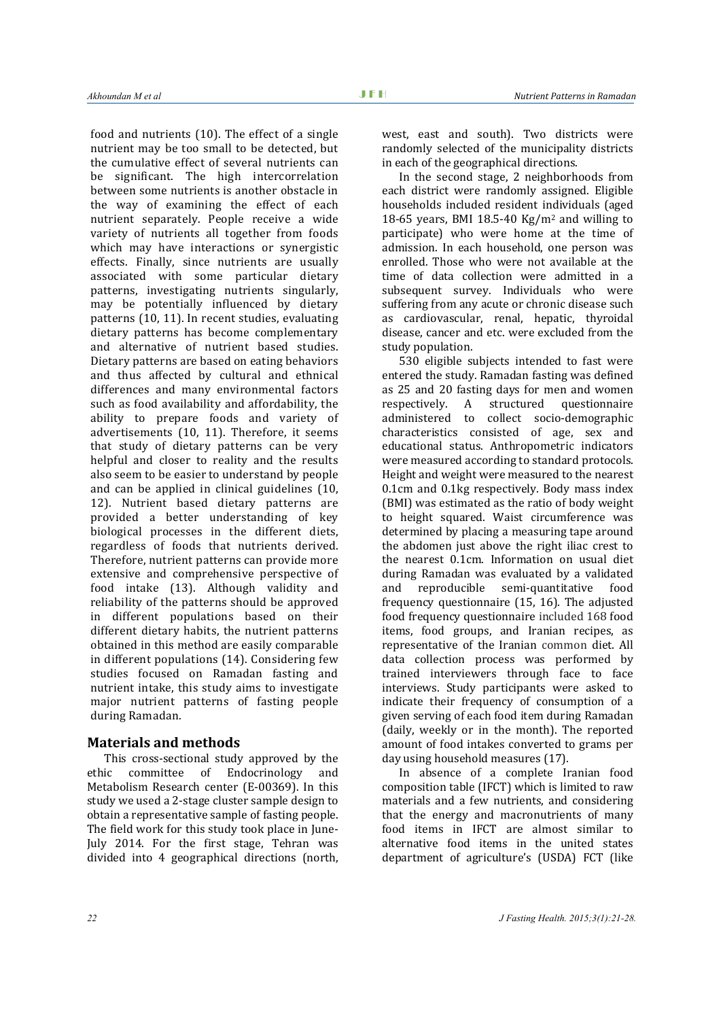food and nutrients [\(10\)](#page-6-4). The effect of a single nutrient may be too small to be detected, but the cumulative effect of several nutrients can be significant. The high intercorrelation between some nutrients is another obstacle in the way of examining the effect of each nutrient separately. People receive a wide variety of nutrients all together from foods which may have interactions or synergistic effects. Finally, since nutrients are usually associated with some particular dietary patterns, investigating nutrients singularly, may be potentially influenced by dietary patterns [\(10,](#page-6-4) [11\)](#page-6-5). In recent studies, evaluating dietary patterns has become complementary and alternative of nutrient based studies. Dietary patterns are based on eating behaviors and thus affected by cultural and ethnical differences and many environmental factors such as food availability and affordability, the ability to prepare foods and variety of advertisements (10, [11\)](#page-6-5). Therefore, it seems that study of dietary patterns can be very helpful and closer to reality and the results also seem to be easier to understand by people and can be applied in clinical guidelines (10, [12\)](#page-6-6). Nutrient based dietary patterns are provided a better understanding of key biological processes in the different diets, regardless of foods that nutrients derived. Therefore, nutrient patterns can provide more extensive and comprehensive perspective of food intake [\(13\)](#page-6-7). Although validity and reliability of the patterns should be approved in different populations based on their different dietary habits, the nutrient patterns obtained in this method are easily comparable in different populations [\(14\)](#page-7-0). Considering few studies focused on Ramadan fasting and nutrient intake, this study aims to investigate major nutrient patterns of fasting people during Ramadan.

## **Materials and methods**

This cross-sectional study approved by the ethic committee of Endocrinology and Metabolism Research center (E-00369). In this study we used a 2-stage cluster sample design to obtain a representative sample of fasting people. The field work for this study took place in June-July 2014. For the first stage, Tehran was divided into 4 geographical directions (north, west, east and south). Two districts were randomly selected of the municipality districts in each of the geographical directions.

In the second stage, 2 neighborhoods from each district were randomly assigned. Eligible households included resident individuals (aged 18-65 years, BMI 18.5-40  $\text{Kg/m}^2$  and willing to participate) who were home at the time of admission. In each household, one person was enrolled. Those who were not available at the time of data collection were admitted in a subsequent survey. Individuals who were suffering from any acute or chronic disease such as cardiovascular, renal, hepatic, thyroidal disease, cancer and etc. were excluded from the study population.

530 eligible subjects intended to fast were entered the study. Ramadan fasting was defined as 25 and 20 fasting days for men and women<br>respectively. A structured questionnaire questionnaire administered to collect socio-demographic characteristics consisted of age, sex and educational status. Anthropometric indicators were measured according to standard protocols. Height and weight were measured to the nearest 0.1cm and 0.1kg respectively. Body mass index (BMI) was estimated as the ratio of body weight to height squared. Waist circumference was determined by placing a measuring tape around the abdomen just above the right iliac crest to the nearest 0.1cm. Information on usual diet during Ramadan was evaluated by a validated<br>and reproducible semi-quantitative food reproducible semi-quantitative frequency questionnaire (15, 16). The adjusted food frequency questionnaire included 168 food items, food groups, and Iranian recipes, as representative of the Iranian common diet. All data collection process was performed by trained interviewers through face to face interviews. Study participants were asked to indicate their frequency of consumption of a given serving of each food item during Ramadan (daily, weekly or in the month). The reported amount of food intakes converted to grams per day using household measures [\(17\)](#page-7-1).

In absence of a complete Iranian food composition table (IFCT) which is limited to raw materials and a few nutrients, and considering that the energy and macronutrients of many food items in IFCT are almost similar to alternative food items in the united states department of agriculture's (USDA) FCT (like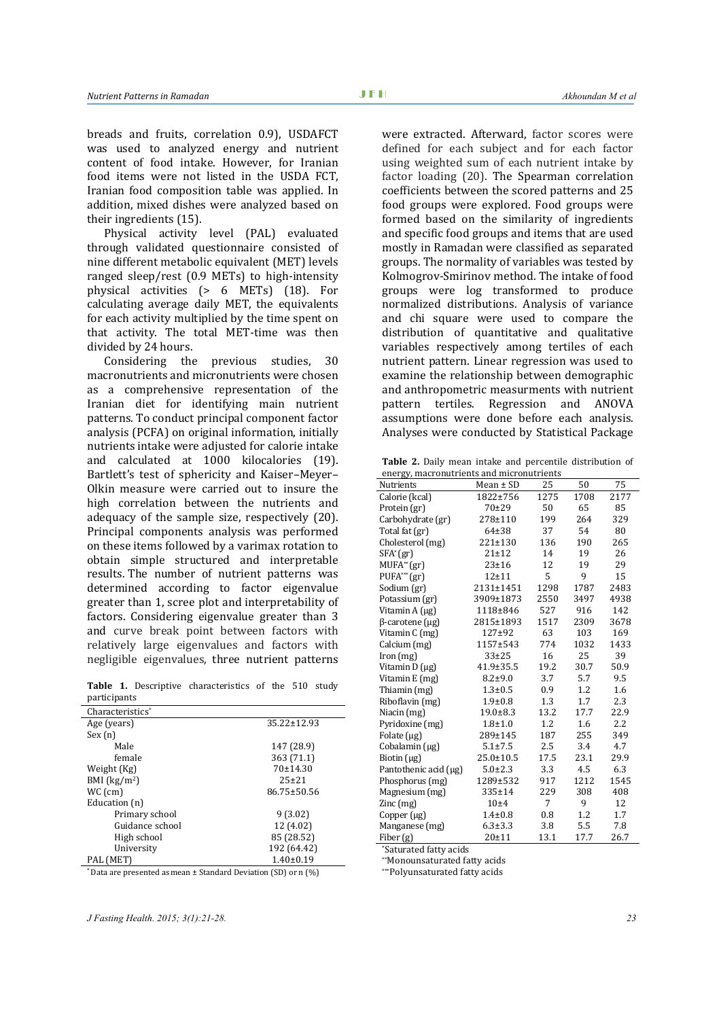breads and fruits, correlation 0.9), USDAFCT was used to analyzed energy and nutrient content of food intake. However, for Iranian food items were not listed in the USDA FCT, Iranian food composition table was applied. In addition, mixed dishes were analyzed based on their ingredients [\(15\)](#page-7-2).

Physical activity level (PAL) evaluated through validated questionnaire consisted of nine different metabolic equivalent (MET) levels ranged sleep/rest (0.9 METs) to high-intensity physical activities (> 6 METs) [\(18\)](#page-7-3). For calculating average daily MET, the equivalents for each activity multiplied by the time spent on that activity. The total MET-time was then divided by 24 hours.

Considering the previous studies, 30 macronutrients and micronutrients were chosen as a comprehensive representation of the Iranian diet for identifying main nutrient patterns. To conduct principal component factor analysis (PCFA) on original information, initially nutrients intake were adjusted for calorie intake and calculated at 1000 kilocalories [\(19\)](#page-7-4). Bartlett's test of sphericity and Kaiser–Meyer– Olkin measure were carried out to insure the high correlation between the nutrients and adequacy of the sample size, respectively [\(20\)](#page-7-5). Principal components analysis was performed on these items followed by a varimax rotation to obtain simple structured and interpretable results. The number of nutrient patterns was determined according to factor eigenvalue greater than 1, scree plot and interpretability of factors. Considering eigenvalue greater than 3 and curve break point between factors with relatively large eigenvalues and factors with negligible eigenvalues, three nutrient patterns

**Table 1.** Descriptive characteristics of the 510 study participants

| Characteristics <sup>*</sup> |                   |  |  |
|------------------------------|-------------------|--|--|
| Age (years)                  | $35.22 \pm 12.93$ |  |  |
| Sex(n)                       |                   |  |  |
| Male                         | 147 (28.9)        |  |  |
| female                       | 363 (71.1)        |  |  |
| Weight (Kg)                  | 70±14.30          |  |  |
| BMI $(kg/m2)$                | $25+21$           |  |  |
| WC (cm)                      | 86.75±50.56       |  |  |
| Education (n)                |                   |  |  |
| Primary school               | 9(3.02)           |  |  |
| Guidance school              | 12 (4.02)         |  |  |
| High school                  | 85 (28.52)        |  |  |
| University                   | 192 (64.42)       |  |  |
| PAL (MET)                    | $1.40 \pm 0.19$   |  |  |

\* Data are presented as mean ± Standard Deviation (SD) or n (%)

were extracted. Afterward, factor scores were defined for each subject and for each factor using weighted sum of each nutrient intake by factor loading [\(20\)](#page-7-5). The Spearman correlation coefficients between the scored patterns and 25 food groups were explored. Food groups were formed based on the similarity of ingredients and specific food groups and items that are used mostly in Ramadan were classified as separated groups. The normality of variables was tested by Kolmogrov-Smirinov method. The intake of food groups were log transformed to produce normalized distributions. Analysis of variance and chi square were used to compare the distribution of quantitative and qualitative variables respectively among tertiles of each nutrient pattern. Linear regression was used to examine the relationship between demographic and anthropometric measurments with nutrient pattern tertiles. Regression and ANOVA assumptions were done before each analysis. Analyses were conducted by Statistical Package

**Table 2.** Daily mean intake and percentile distribution of energy, macronutrients and micronutrients

| energy, maeronaerienes and mieronaerienes<br>Nutrients | Mean $\pm$ SD   | 25   | 50   | 75   |
|--------------------------------------------------------|-----------------|------|------|------|
| Calorie (kcal)                                         | 1822±756        | 1275 | 1708 | 2177 |
| Protein (gr)                                           | $70 + 29$       | 50   | 65   | 85   |
| Carbohydrate (gr)                                      | 278±110         | 199  | 264  | 329  |
| Total fat (gr)                                         | $64 + 38$       | 37   | 54   | 80   |
| Cholesterol (mg)                                       | $221 \pm 130$   | 136  | 190  | 265  |
| $SFA^*(gr)$                                            | $21 + 12$       | 14   | 19   | 26   |
| $MUFA^{**}(gr)$                                        | $23 + 16$       | 12   | 19   | 29   |
| $PUFA^{***}(gr)$                                       | $12 + 11$       | 5    | 9    | 15   |
| Sodium (gr)                                            | 2131±1451       | 1298 | 1787 | 2483 |
| Potassium (gr)                                         | 3909±1873       | 2550 | 3497 | 4938 |
| Vitamin A (µg)                                         | 1118±846        | 527  | 916  | 142  |
| $\beta$ -carotene (µg)                                 | 2815±1893       | 1517 | 2309 | 3678 |
| Vitamin C (mg)                                         | 127±92          | 63   | 103  | 169  |
| Calcium (mg)                                           | 1157±543        | 774  | 1032 | 1433 |
| lron(mg)                                               | $33 + 25$       | 16   | 25   | 39   |
| Vitamin D (µg)                                         | $41.9 \pm 35.5$ | 19.2 | 30.7 | 50.9 |
| Vitamin E (mg)                                         | $8.2 + 9.0$     | 3.7  | 5.7  | 9.5  |
| Thiamin (mg)                                           | $1.3 + 0.5$     | 0.9  | 1.2  | 1.6  |
| Riboflavin (mg)                                        | $1.9 + 0.8$     | 1.3  | 1.7  | 2.3  |
| Niacin (mg)                                            | $19.0 \pm 8.3$  | 13.2 | 17.7 | 22.9 |
| Pyridoxine (mg)                                        | $1.8 + 1.0$     | 1.2  | 1.6  | 2.2  |
| Folate $(\mu g)$                                       | 289±145         | 187  | 255  | 349  |
| Cobalamin (µg)                                         | $5.1 \pm 7.5$   | 2.5  | 3.4  | 4.7  |
| Biotin $(\mu g)$                                       | $25.0 \pm 10.5$ | 17.5 | 23.1 | 29.9 |
| Pantothenic acid (µg)                                  | $5.0 \pm 2.3$   | 3.3  | 4.5  | 6.3  |
| Phosphorus (mg)                                        | 1289±532        | 917  | 1212 | 1545 |
| Magnesium (mg)                                         | 335±14          | 229  | 308  | 408  |
| $\text{Zinc}\left(\text{mg}\right)$                    | $10\pm4$        | 7    | 9    | 12   |
| Copper (µg)                                            | $1.4 + 0.8$     | 0.8  | 1.2  | 1.7  |
| Manganese (mg)                                         | $6.3 \pm 3.3$   | 3.8  | 5.5  | 7.8  |
| Fiber (g)                                              | $20 + 11$       | 13.1 | 17.7 | 26.7 |

\*Saturated fatty acids

\*\*Monounsaturated fatty acids

\*\*\*Polyunsaturated fatty acids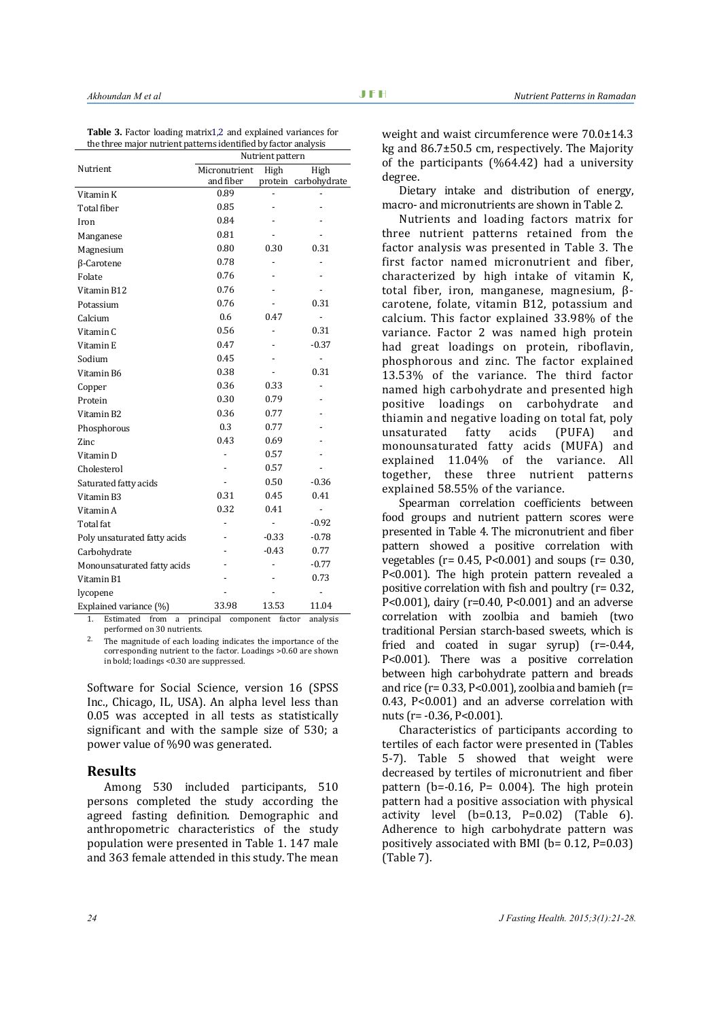**Table 3.** Factor loading matrix1,2 and explained variances for the three major nutrient patterns identified by factor analysis

|                                                              | Nutrient pattern |         |                      |  |  |  |
|--------------------------------------------------------------|------------------|---------|----------------------|--|--|--|
| Nutrient                                                     | Micronutrient    | High    | High                 |  |  |  |
|                                                              | and fiber        |         | protein carbohydrate |  |  |  |
| Vitamin K                                                    | 0.89             |         |                      |  |  |  |
| Total fiber                                                  | 0.85             |         |                      |  |  |  |
| Iron                                                         | 0.84             |         |                      |  |  |  |
| Manganese                                                    | 0.81             |         |                      |  |  |  |
| Magnesium                                                    | 0.80             | 0.30    | 0.31                 |  |  |  |
| β-Carotene                                                   | 0.78             |         |                      |  |  |  |
| Folate                                                       | 0.76             |         |                      |  |  |  |
| Vitamin B12                                                  | 0.76             |         |                      |  |  |  |
| Potassium                                                    | 0.76             |         | 0.31                 |  |  |  |
| Calcium                                                      | 0.6              | 0.47    |                      |  |  |  |
| Vitamin <sub>C</sub>                                         | 0.56             |         | 0.31                 |  |  |  |
| Vitamin E                                                    | 0.47             |         | $-0.37$              |  |  |  |
| Sodium                                                       | 0.45             |         | $\overline{a}$       |  |  |  |
| Vitamin B6                                                   | 0.38             |         | 0.31                 |  |  |  |
| Copper                                                       | 0.36             | 0.33    |                      |  |  |  |
| Protein                                                      | 0.30             | 0.79    |                      |  |  |  |
| Vitamin B2                                                   | 0.36             | 0.77    |                      |  |  |  |
| Phosphorous                                                  | 0.3              | 0.77    |                      |  |  |  |
| Zinc                                                         | 0.43             | 0.69    |                      |  |  |  |
| Vitamin D                                                    |                  | 0.57    |                      |  |  |  |
| Cholesterol                                                  |                  | 0.57    |                      |  |  |  |
| Saturated fatty acids                                        |                  | 0.50    | $-0.36$              |  |  |  |
| Vitamin B3                                                   | 0.31             | 0.45    | 0.41                 |  |  |  |
| Vitamin A                                                    | 0.32             | 0.41    | $\overline{a}$       |  |  |  |
| Total fat                                                    |                  |         | $-0.92$              |  |  |  |
| Poly unsaturated fatty acids                                 |                  | $-0.33$ | $-0.78$              |  |  |  |
| Carbohydrate                                                 |                  | $-0.43$ | 0.77                 |  |  |  |
| Monounsaturated fatty acids                                  |                  |         | $-0.77$              |  |  |  |
| Vitamin B1                                                   |                  |         | 0.73                 |  |  |  |
| lycopene                                                     |                  |         |                      |  |  |  |
| Explained variance (%)                                       | 33.98            | 13.53   | 11.04                |  |  |  |
| Estimated from a principal component factor<br>1<br>analycic |                  |         |                      |  |  |  |

1. Estimated from a principal component factor analysis performed on 30 nutrients.

<sup>2</sup>. The magnitude of each loading indicates the importance of the corresponding nutrient to the factor. Loadings >0.60 are shown in bold; loadings <0.30 are suppressed.

Software for Social Science, version 16 (SPSS Inc., Chicago, IL, USA). An alpha level less than 0.05 was accepted in all tests as statistically significant and with the sample size of 530; a power value of %90 was generated.

#### **Results**

Among 530 included participants, 510 persons completed the study according the agreed fasting definition. Demographic and anthropometric characteristics of the study population were presented in Table 1. 147 male and 363 female attended in this study. The mean weight and waist circumference were 70.0±14.3 kg and 86.7±50.5 cm, respectively. The Majority of the participants (%64.42) had a university degree.

Dietary intake and distribution of energy, macro- and micronutrients are shown in Table 2.

Nutrients and loading factors matrix for three nutrient patterns retained from the factor analysis was presented in Table 3. The first factor named micronutrient and fiber, characterized by high intake of vitamin K, total fiber, iron, manganese, magnesium, βcarotene, folate, vitamin B12, potassium and calcium. This factor explained 33.98% of the variance. Factor 2 was named high protein had great loadings on protein, riboflavin, phosphorous and zinc. The factor explained 13.53% of the variance. The third factor named high carbohydrate and presented high<br>positive loadings on carbohydrate and positive loadings on carbohydrate thiamin and negative loading on total fat, poly<br>unsaturated fatty acids (PUFA) and unsaturated fatty acids (PUFA) and monounsaturated fatty acids (MUFA) and explained 11.04% of the variance. All together, these three nutrient patterns explained 58.55% of the variance.

Spearman correlation coefficients between food groups and nutrient pattern scores were presented in Table 4. The micronutrient and fiber pattern showed a positive correlation with vegetables (r= 0.45, P<0.001) and soups (r= 0.30, P<0.001). The high protein pattern revealed a positive correlation with fish and poultry (r= 0.32, P<0.001), dairy (r=0.40, P<0.001) and an adverse correlation with zoolbia and bamieh (two traditional Persian starch-based sweets, which is fried and coated in sugar syrup) (r=-0.44, P<0.001). There was a positive correlation between high carbohydrate pattern and breads and rice ( $r = 0.33$ ,  $P < 0.001$ ), zoolbia and bamieh ( $r =$ 0.43, P<0.001) and an adverse correlation with nuts ( $r = -0.36$ ,  $P < 0.001$ ).

Characteristics of participants according to tertiles of each factor were presented in (Tables 5-7). Table 5 showed that weight were decreased by tertiles of micronutrient and fiber pattern (b= $-0.16$ , P= 0.004). The high protein pattern had a positive association with physical activity level  $(b=0.13, P=0.02)$  (Table 6). Adherence to high carbohydrate pattern was positively associated with BMI ( $b= 0.12$ ,  $P=0.03$ ) (Table 7).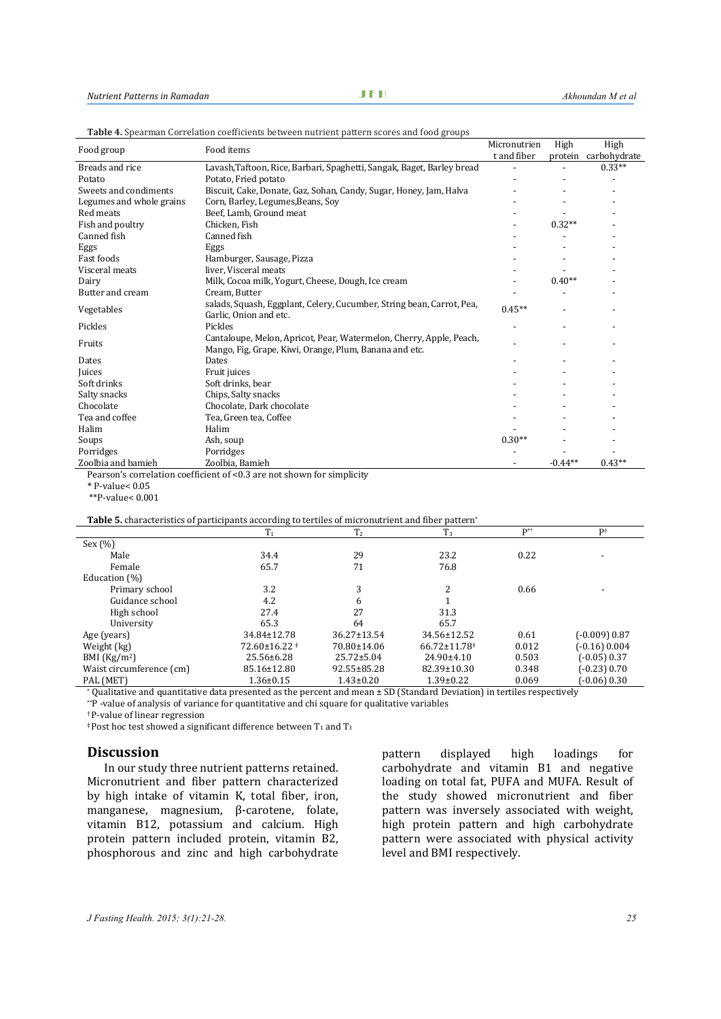| Food group               | Food items                                                                                                                    | Micronutrien | High      | High         |
|--------------------------|-------------------------------------------------------------------------------------------------------------------------------|--------------|-----------|--------------|
|                          |                                                                                                                               | t and fiber  | protein   | carbohydrate |
| Breads and rice          | Lavash, Taftoon, Rice, Barbari, Spaghetti, Sangak, Baget, Barley bread                                                        |              |           | $0.33**$     |
| Potato                   | Potato, Fried potato                                                                                                          |              |           |              |
| Sweets and condiments    | Biscuit, Cake, Donate, Gaz, Sohan, Candy, Sugar, Honey, Jam, Halva                                                            |              |           |              |
| Legumes and whole grains | Corn, Barley, Legumes, Beans, Soy                                                                                             |              |           |              |
| Red meats                | Beef, Lamb, Ground meat                                                                                                       |              |           |              |
| Fish and poultry         | Chicken, Fish                                                                                                                 |              | $0.32**$  |              |
| Canned fish              | Canned fish                                                                                                                   |              |           |              |
| Eggs                     | Eggs                                                                                                                          |              |           |              |
| Fast foods               | Hamburger, Sausage, Pizza                                                                                                     |              |           |              |
| Visceral meats           | liver, Visceral meats                                                                                                         |              |           |              |
| Dairy                    | Milk, Cocoa milk, Yogurt, Cheese, Dough, Ice cream                                                                            |              | $0.40**$  |              |
| Butter and cream         | Cream. Butter                                                                                                                 |              |           |              |
| Vegetables               | salads, Squash, Eggplant, Celery, Cucumber, String bean, Carrot, Pea,<br>Garlic, Onion and etc.                               | $0.45**$     |           |              |
| Pickles                  | Pickles                                                                                                                       |              |           |              |
| Fruits                   | Cantaloupe, Melon, Apricot, Pear, Watermelon, Cherry, Apple, Peach,<br>Mango, Fig, Grape, Kiwi, Orange, Plum, Banana and etc. |              |           |              |
| Dates                    | Dates                                                                                                                         |              |           |              |
| Juices                   | Fruit juices                                                                                                                  |              |           |              |
| Soft drinks              | Soft drinks, bear                                                                                                             |              |           |              |
| Salty snacks             | Chips, Salty snacks                                                                                                           |              |           |              |
| Chocolate                | Chocolate, Dark chocolate                                                                                                     |              |           |              |
| Tea and coffee           | Tea, Green tea, Coffee                                                                                                        |              |           |              |
| Halim                    | Halim                                                                                                                         |              |           |              |
| Soups                    | Ash, soup                                                                                                                     | $0.30**$     |           |              |
| Porridges                | Porridges                                                                                                                     |              |           |              |
| Zoolbia and bamieh       | Zoolbia, Bamieh                                                                                                               |              | $-0.44**$ | $0.43**$     |

**Table 4.** Spearman Correlation coefficients between nutrient pattern scores and food groups

Pearson's correlation coefficient of <0.3 are not shown for simplicity

\* P-value< 0.05

\*\*P-value< 0.001

**Table 5.** characteristics of participants according to tertiles of micronutrient and fiber pattern\*

|                          | $T_1$                   | T <sub>2</sub>    | $T_3$                          | $P^{**}$ | $P^+$           |
|--------------------------|-------------------------|-------------------|--------------------------------|----------|-----------------|
| Sex(%)                   |                         |                   |                                |          |                 |
| Male                     | 34.4                    | 29                | 23.2                           | 0.22     |                 |
| Female                   | 65.7                    | 71                | 76.8                           |          |                 |
| Education (%)            |                         |                   |                                |          |                 |
| Primary school           | 3.2                     | 3                 | C.                             | 0.66     |                 |
| Guidance school          | 4.2                     | 6                 |                                |          |                 |
| High school              | 27.4                    | 27                | 31.3                           |          |                 |
| University               | 65.3                    | 64                | 65.7                           |          |                 |
| Age (years)              | 34.84±12.78             | $36.27 \pm 13.54$ | 34.56±12.52                    | 0.61     | (-0.009) 0.87   |
| Weight (kg)              | $72.60 \pm 16.22 \pm 1$ | 70.80±14.06       | $66.72 \pm 11.78$ <sup>#</sup> | 0.012    | $(-0.16)$ 0.004 |
| BMI $(Kg/m2)$            | $25.56 \pm 6.28$        | $25.72 \pm 5.04$  | $24.90 \pm 4.10$               | 0.503    | $(-0.05)$ 0.37  |
| Waist circumference (cm) | 85.16±12.80             | 92.55±85.28       | 82.39±10.30                    | 0.348    | $(-0.23)$ 0.70  |
| PAL (MET)                | $1.36 \pm 0.15$         | $1.43 \pm 0.20$   | $1.39 \pm 0.22$                | 0.069    | (-0.06) 0.30    |

\* Qualitative and quantitative data presented as the percent and mean ± SD (Standard Deviation) in tertiles respectively

\*\*P -value of analysis of variance for quantitative and chi square for qualitative variables

† P-value of linear regression

 $\overline{a}$  Post hoc test showed a significant difference between T<sub>1</sub> and T<sub>3</sub>

# **Discussion**

In our study three nutrient patterns retained. Micronutrient and fiber pattern characterized by high intake of vitamin K, total fiber, iron, manganese, magnesium, β-carotene, folate, vitamin B12, potassium and calcium. High protein pattern included protein, vitamin B2, phosphorous and zinc and high carbohydrate

pattern displayed high loadings for carbohydrate and vitamin B1 and negative loading on total fat, PUFA and MUFA. Result of the study showed micronutrient and fiber pattern was inversely associated with weight, high protein pattern and high carbohydrate pattern were associated with physical activity level and BMI respectively.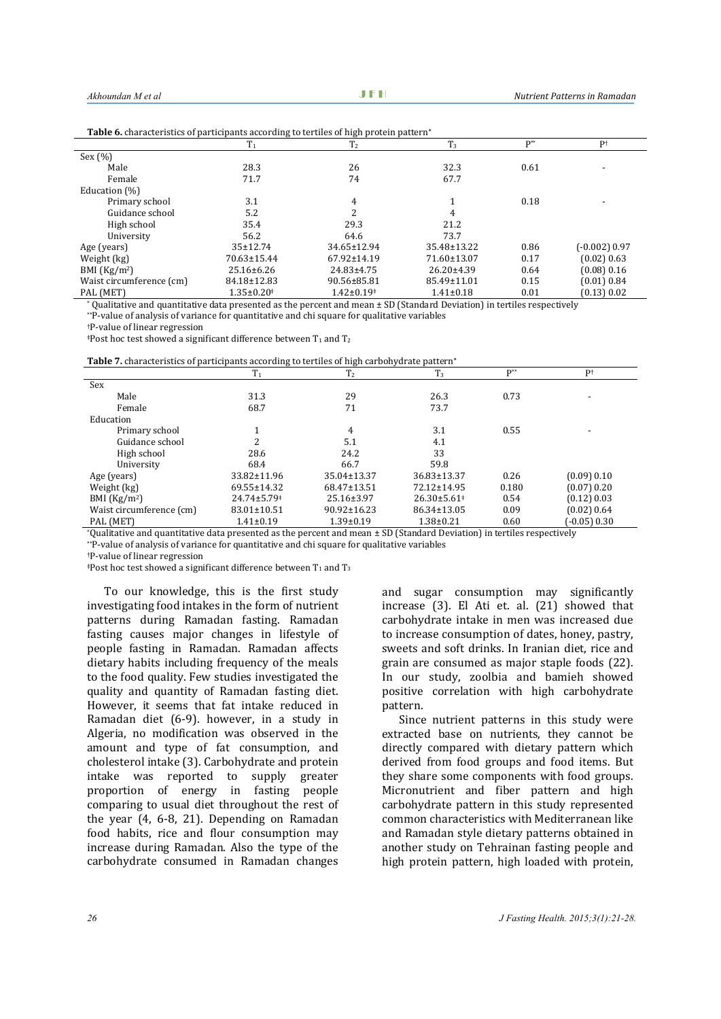| <b>rapic of characteristics of participants according to terminal of ingir protein pattern</b> |                              |                   |                  |                   |                 |  |
|------------------------------------------------------------------------------------------------|------------------------------|-------------------|------------------|-------------------|-----------------|--|
|                                                                                                | $T_1$                        | T <sub>2</sub>    | $T_3$            | $\mathbf{D}^{**}$ | Pt              |  |
| Sex $(\% )$                                                                                    |                              |                   |                  |                   |                 |  |
| Male                                                                                           | 28.3                         | 26                | 32.3             | 0.61              |                 |  |
| Female                                                                                         | 71.7                         | 74                | 67.7             |                   |                 |  |
| Education (%)                                                                                  |                              |                   |                  |                   |                 |  |
| Primary school                                                                                 | 3.1                          | 4                 |                  | 0.18              |                 |  |
| Guidance school                                                                                | 5.2                          | 2                 | 4                |                   |                 |  |
| High school                                                                                    | 35.4                         | 29.3              | 21.2             |                   |                 |  |
| University                                                                                     | 56.2                         | 64.6              | 73.7             |                   |                 |  |
| Age (years)                                                                                    | $35 \pm 12.74$               | 34.65±12.94       | 35.48±13.22      | 0.86              | $(-0.002)$ 0.97 |  |
| Weight (kg)                                                                                    | 70.63±15.44                  | $67.92 \pm 14.19$ | 71.60±13.07      | 0.17              | (0.02) 0.63     |  |
| BMI $(Kg/m2)$                                                                                  | $25.16 \pm 6.26$             | $24.83 \pm 4.75$  | $26.20 \pm 4.39$ | 0.64              | (0.08) 0.16     |  |
| Waist circumference (cm)                                                                       | 84.18±12.83                  | 90.56±85.81       | 85.49±11.01      | 0.15              | (0.01) 0.84     |  |
| PAL (MET)                                                                                      | $1.35 \pm 0.20$ <sup>*</sup> | $1.42 \pm 0.19^*$ | $1.41 \pm 0.18$  | 0.01              | (0.13) 0.02     |  |

**Table 6.** characteristics of participants according to tertiles of high protein pattern**\***

 $^*$  Qualitative and quantitative data presented as the percent and mean  $\pm$  SD (Standard Deviation) in tertiles respectively

\*\*P-value of analysis of variance for quantitative and chi square for qualitative variables

†P-value of linear regression

 $*Post$  hoc test showed a significant difference between  $T_1$  and  $T_2$ 

**Table 7.** characteristics of participants according to tertiles of high carbohydrate pattern**\***

|                          | T <sub>1</sub>                | T <sub>2</sub>    | $T_3$             | $P^{**}$ | $P^+$            |
|--------------------------|-------------------------------|-------------------|-------------------|----------|------------------|
| Sex                      |                               |                   |                   |          |                  |
| Male                     | 31.3                          | 29                | 26.3              | 0.73     |                  |
| Female                   | 68.7                          | 71                | 73.7              |          |                  |
| Education                |                               |                   |                   |          |                  |
| Primary school           |                               | 4                 | 3.1               | 0.55     |                  |
| Guidance school          |                               | 5.1               | 4.1               |          |                  |
| High school              | 28.6                          | 24.2              | 33                |          |                  |
| University               | 68.4                          | 66.7              | 59.8              |          |                  |
| Age (years)              | 33.82±11.96                   | 35.04±13.37       | $36.83 \pm 13.37$ | 0.26     | (0.09) 0.10      |
| Weight (kg)              | 69.55±14.32                   | $68.47 \pm 13.51$ | 72.12±14.95       | 0.180    | (0.07) 0.20      |
| BMI $(Kg/m2)$            | $24.74 \pm 5.79$ <sup>#</sup> | $25.16 \pm 3.97$  | $26.30\pm5.61^*$  | 0.54     | (0.12) 0.03      |
| Waist circumference (cm) | 83.01±10.51                   | $90.92 \pm 16.23$ | 86.34±13.05       | 0.09     | (0.02) 0.64      |
| PAL (MET)                | $1.41 \pm 0.19$               | $1.39 \pm 0.19$   | $1.38 \pm 0.21$   | 0.60     | $(-0.05)$ $0.30$ |

\*Qualitative and quantitative data presented as the percent and mean ± SD (Standard Deviation) in tertiles respectively

\*\*P-value of analysis of variance for quantitative and chi square for qualitative variables

†P-value of linear regression

 $*Post$  hoc test showed a significant difference between  $T_1$  and  $T_3$ 

To our knowledge, this is the first study investigating food intakes in the form of nutrient patterns during Ramadan fasting. Ramadan fasting causes major changes in lifestyle of people fasting in Ramadan. Ramadan affects dietary habits including frequency of the meals to the food quality. Few studies investigated the quality and quantity of Ramadan fasting diet. However, it seems that fat intake reduced in Ramadan diet [\(6-9\)](#page-6-3). however, in a study in Algeria, no modification was observed in the amount and type of fat consumption, and cholesterol intake [\(3\)](#page-6-8). Carbohydrate and protein intake was reported to supply greater proportion of energy in fasting people comparing to usual diet throughout the rest of the year [\(4,](#page-6-9) [6-8,](#page-6-3) [21\)](#page-7-6). Depending on Ramadan food habits, rice and flour consumption may increase during Ramadan. Also the type of the carbohydrate consumed in Ramadan changes

and sugar consumption may significantly increase [\(3\)](#page-6-8). El Ati et. al. [\(21\)](#page-7-6) showed that carbohydrate intake in men was increased due to increase consumption of dates, honey, pastry, sweets and soft drinks. In Iranian diet, rice and grain are consumed as major staple foods [\(22\)](#page-7-7). In our study, zoolbia and bamieh showed positive correlation with high carbohydrate pattern.

Since nutrient patterns in this study were extracted base on nutrients, they cannot be directly compared with dietary pattern which derived from food groups and food items. But they share some components with food groups. Micronutrient and fiber pattern and high carbohydrate pattern in this study represented common characteristics with Mediterranean like and Ramadan style dietary patterns obtained in another study on Tehrainan fasting people and high protein pattern, high loaded with protein,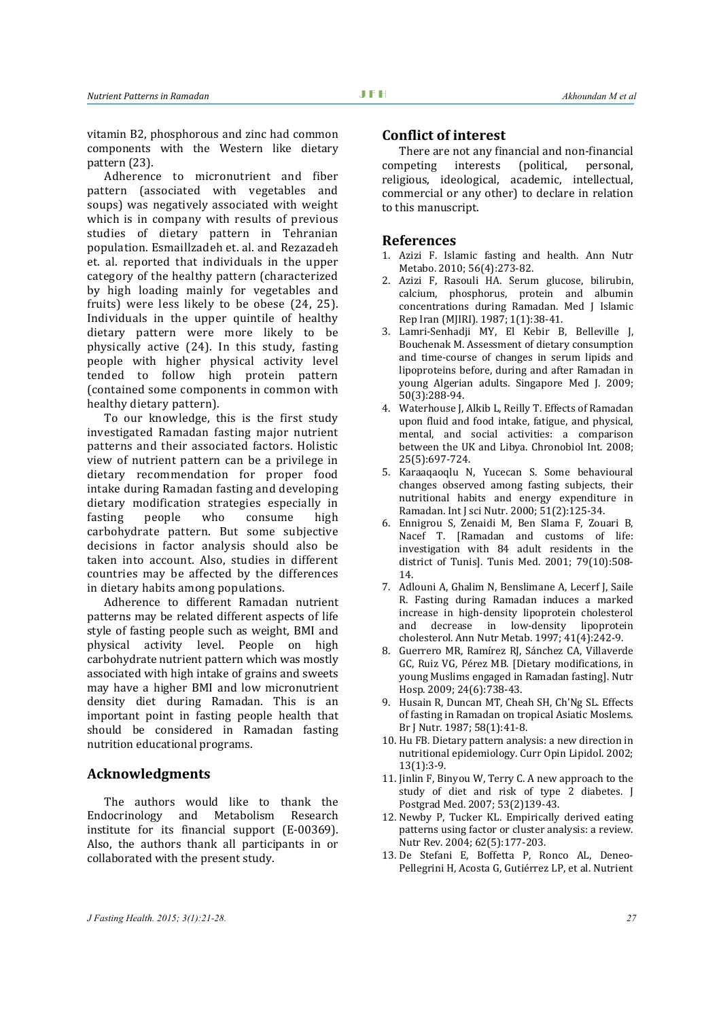vitamin B2, phosphorous and zinc had common components with the Western like dietary pattern [\(23\)](#page-7-8).

Adherence to micronutrient and fiber pattern (associated with vegetables and soups) was negatively associated with weight which is in company with results of previous studies of dietary pattern in Tehranian population. Esmaillzadeh et. al. and Rezazadeh et. al. reported that individuals in the upper category of the healthy pattern (characterized by high loading mainly for vegetables and fruits) were less likely to be obese [\(24,](#page-7-9) [25\)](#page-7-10). Individuals in the upper quintile of healthy dietary pattern were more likely to be physically active [\(24\)](#page-7-9). In this study, fasting people with higher physical activity level tended to follow high protein pattern (contained some components in common with healthy dietary pattern).

To our knowledge, this is the first study investigated Ramadan fasting major nutrient patterns and their associated factors. Holistic view of nutrient pattern can be a privilege in dietary recommendation for proper food intake during Ramadan fasting and developing dietary modification strategies especially in<br>fasting people who consume high consume carbohydrate pattern. But some subjective decisions in factor analysis should also be taken into account. Also, studies in different countries may be affected by the differences in dietary habits among populations.

Adherence to different Ramadan nutrient patterns may be related different aspects of life style of fasting people such as weight, BMI and physical activity level. People on high carbohydrate nutrient pattern which was mostly associated with high intake of grains and sweets may have a higher BMI and low micronutrient density diet during Ramadan. This is an important point in fasting people health that should be considered in Ramadan fasting nutrition educational programs.

## **Acknowledgments**

The authors would like to thank the Endocrinology and Metabolism Research institute for its financial support (E-00369). Also, the authors thank all participants in or collaborated with the present study.

#### **Conflict of interest**

There are not any financial and non-financial<br>npeting interests (political, personal, competing religious, ideological, academic, intellectual, commercial or any other) to declare in relation to this manuscript.

#### **References**

- <span id="page-6-0"></span>1. Azizi F. Islamic fasting and health. Ann Nutr Metabo. 2010; 56(4):273-82.
- <span id="page-6-1"></span>2. Azizi F, Rasouli HA. Serum glucose, bilirubin, calcium, phosphorus, protein and albumin concentrations during Ramadan. Med J Islamic Rep Iran (MJIRI). 1987; 1(1):38-41.
- <span id="page-6-8"></span>3. Lamri-Senhadji MY, El Kebir B, Belleville J, Bouchenak M. Assessment of dietary consumption and time-course of changes in serum lipids and lipoproteins before, during and after Ramadan in young Algerian adults. Singapore Med J. 2009; 50(3):288-94.
- <span id="page-6-9"></span>4. Waterhouse J, Alkib L, Reilly T. Effects of Ramadan upon fluid and food intake, fatigue, and physical, mental, and social activities: a comparison between the UK and Libya. Chronobiol Int. 2008; 25(5):697-724.
- <span id="page-6-2"></span>5. Karaaqaoqlu N, Yucecan S. Some behavioural changes observed among fasting subjects, their nutritional habits and energy expenditure in Ramadan. Int J sci Nutr. 2000; 51(2):125-34.
- <span id="page-6-3"></span>6. Ennigrou S, Zenaidi M, Ben Slama F, Zouari B, Nacef T. [Ramadan and customs of life: investigation with 84 adult residents in the district of Tunis]. Tunis Med. 2001; 79(10):508- 14.
- 7. Adlouni A, Ghalim N, Benslimane A, Lecerf J, Saile R. Fasting during Ramadan induces a marked increase in high-density lipoprotein cholesterol and decrease in low-density lipoprotein cholesterol. Ann Nutr Metab. 1997; 41(4):242-9.
- 8. Guerrero MR, Ramírez RJ, Sánchez CA, Villaverde GC, Ruiz VG, Pérez MB. [Dietary modifications, in young Muslims engaged in Ramadan fasting]. Nutr Hosp. 2009; 24(6):738-43.
- 9. Husain R, Duncan MT, Cheah SH, Ch'Ng SL. Effects of fasting in Ramadan on tropical Asiatic Moslems. Br J Nutr. 1987; 58(1):41-8.
- <span id="page-6-4"></span>10. Hu FB. Dietary pattern analysis: a new direction in nutritional epidemiology. Curr Opin Lipidol. 2002; 13(1):3-9.
- <span id="page-6-5"></span>11. Jinlin F, Binyou W, Terry C. A new approach to the study of diet and risk of type 2 diabetes. J Postgrad Med. 2007; 53(2)139-43.
- <span id="page-6-6"></span>12. Newby P, Tucker KL. Empirically derived eating patterns using factor or cluster analysis: a review. Nutr Rev. 2004; 62(5):177-203.
- <span id="page-6-7"></span>13. De Stefani E, Boffetta P, Ronco AL, Deneo-Pellegrini H, Acosta G, Gutiérrez LP, et al. Nutrient